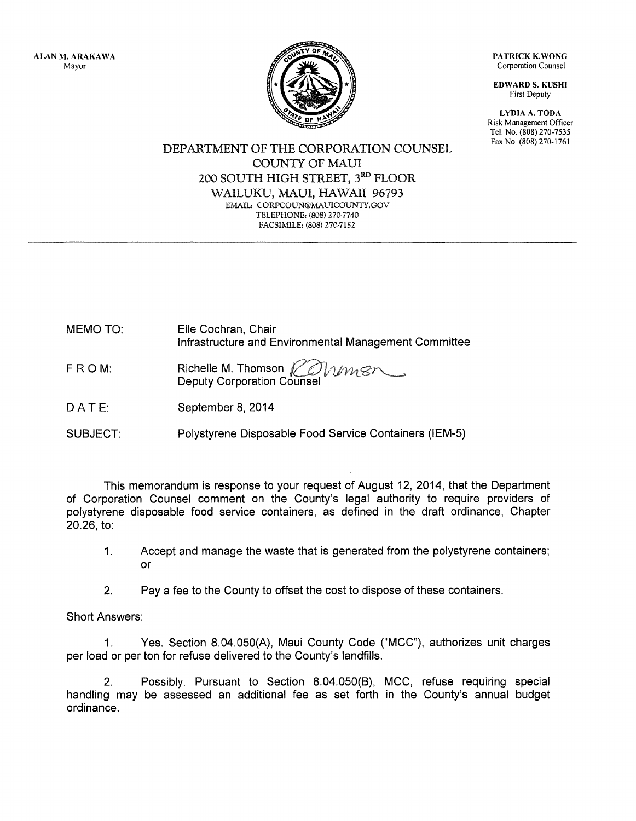ALAN M. ARAKAWA Mayor

PATRICK K.WONG Corporation Counsel

EDWARD S. KUSHI First Deputy

LYDIA A. TODA Risk Management Officer Tel. No. (808) 270-7535 Fax No. (808) 270-1761

DEPARTMENT OF THE CORPORATION COUNSEL COUNTY OF MAUl 200 SOUTH HIGH STREET, 3RD FLOOR WAILUKU, MAUl, HAWAII 96793 EMAIL: CORPCOUN@MAUICOUNTY.GOV TELEPHONE: (808) 270-7740 FACSIMILE: (808) 270-7152

MEMO TO: Elle Cochran, Chair Infrastructure and Environmental Management Committee

- Richelle M. Thomson  $K$ FROM: Mmsr Deputy Corporation Counsel
- DATE: September 8, 2014
- SUBJECT: Polystyrene Disposable Food Service Containers (IEM-5)

This memorandum is response to your request of August 12, 2014, that the Department of Corporation Counsel comment on the County's legal authority to require providers of polystyrene disposable food service containers, as defined in the draft ordinance, Chapter 20.26, to:

- 1. Accept and manage the waste that is generated from the polystyrene containers; or
- 2. Pay a fee to the County to offset the cost to dispose of these containers.

Short Answers:

1. Yes. Section 8.04.050(A), Maui County Code ("MCC"), authorizes unit charges per load or per ton for refuse delivered to the County's landfills.

2. Possibly. Pursuant to Section 8.04.050(B), MCC, refuse requiring special handling may be assessed an additional fee as set forth in the County's annual budget ordinance.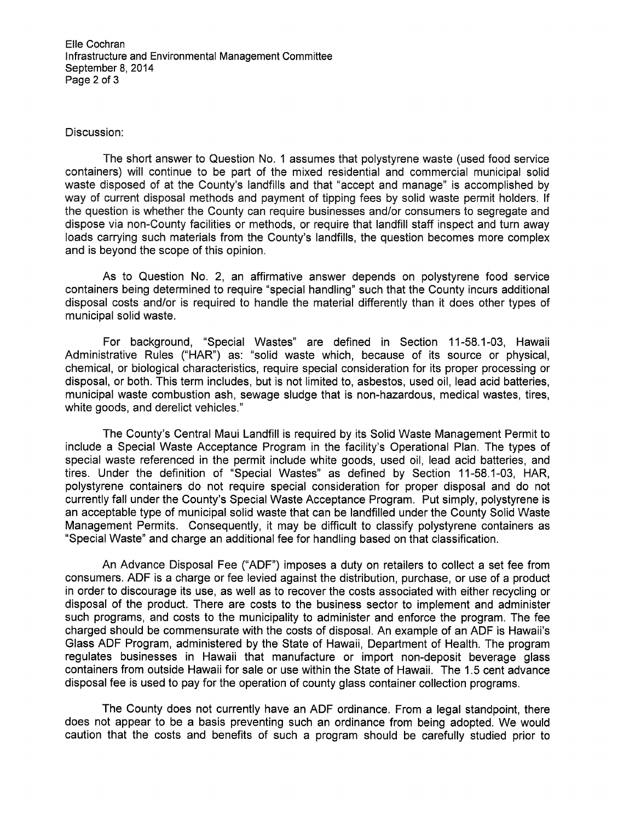Elle Cochran Infrastructure and Environmental Management Committee September 8, 2014 Page 2 of 3

## Discussion:

The short answer to Question No. 1 assumes that polystyrene waste (used food service containers) will continue to be part of the mixed residential and commercial municipal solid waste disposed of at the County's landfills and that "accept and manage" is accomplished by way of current disposal methods and payment of tipping fees by solid waste permit holders. If the question is whether the County can require businesses and/or consumers to segregate and dispose via non-County facilities or methods, or require that landfill staff inspect and turn away loads carrying such materials from the County's landfills, the question becomes more complex and is beyond the scope of this opinion.

As to Question No. 2, an affirmative answer depends on polystyrene food service containers being determined to require "special handling" such that the County incurs additional disposal costs and/or is required to handle the material differently than it does other types of municipal solid waste.

For background, "Special Wastes" are defined in Section 11-58.1-03, Hawaii Administrative Rules ("HAR") as: "solid waste which, because of its source or physical, chemical, or biological characteristics, require special consideration for its proper processing or disposal, or both. This term includes, but is not limited to, asbestos, used oil, lead acid batteries, municipal waste combustion ash, sewage sludge that is non-hazardous, medical wastes, tires, white goods, and derelict vehicles."

The County's Central Maui Landfill is required by its Solid Waste Management Permit to include a Special Waste Acceptance Program in the facility's Operational Plan. The types of special waste referenced in the permit include white goods, used oil, lead acid batteries, and tires. Under the definition of "Special Wastes" as defined by Section 11-58.1-03, HAR, polystyrene containers do not require special consideration for proper disposal and do not currently fall under the County's Special Waste Acceptance Program. Put simply, polystyrene is an acceptable type of municipal solid waste that can be landfilled under the County Solid Waste Management Permits. Consequently, it may be difficult to classify polystyrene containers as "Special Waste" and charge an additional fee for handling based on that classification.

An Advance Disposal Fee ("ADF") imposes a duty on retailers to collect a set fee from consumers. ADF is a charge or fee levied against the distribution, purchase, or use of a product in order to discourage its use, as well as to recover the costs associated with either recycling or disposal of the product. There are costs to the business sector to implement and administer such programs, and costs to the municipality to administer and enforce the program. The fee charged should be commensurate with the costs of disposal. An example of an ADF is Hawaii's Glass ADF Program, administered by the State of Hawaii, Department of Health. The program regulates businesses in Hawaii that manufacture or import non-deposit beverage glass containers from outside Hawaii for sale or use within the State of Hawaii. The 1.5 cent advance disposal fee is used to pay for the operation of county glass container collection programs.

The County does not currently have an ADF ordinance. From a legal standpoint, there does not appear to be a basis preventing such an ordinance from being adopted. We would caution that the costs and benefits of such a program should be carefully studied prior to